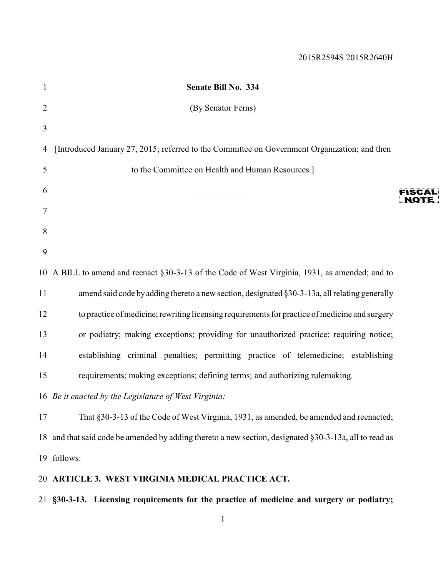| $\mathbf{1}$   | Senate Bill No. 334                                                                                    |        |
|----------------|--------------------------------------------------------------------------------------------------------|--------|
| $\overline{2}$ | (By Senator Ferns)                                                                                     |        |
| 3              |                                                                                                        |        |
| 4              | [Introduced January 27, 2015; referred to the Committee on Government Organization; and then           |        |
| 5              | to the Committee on Health and Human Resources.]                                                       |        |
| 6              |                                                                                                        | FISCAL |
| 7              |                                                                                                        | NOTE : |
| 8              |                                                                                                        |        |
| 9              |                                                                                                        |        |
|                | 10 A BILL to amend and reenact §30-3-13 of the Code of West Virginia, 1931, as amended; and to         |        |
| 11             | amend said code by adding thereto a new section, designated §30-3-13a, all relating generally          |        |
| 12             | to practice of medicine; rewriting licensing requirements for practice of medicine and surgery         |        |
| 13             | or podiatry; making exceptions; providing for unauthorized practice; requiring notice;                 |        |
| 14             | establishing criminal penalties; permitting practice of telemedicine; establishing                     |        |
| 15             | requirements; making exceptions; defining terms; and authorizing rulemaking.                           |        |
|                | 16 Be it enacted by the Legislature of West Virginia:                                                  |        |
| 17             | That §30-3-13 of the Code of West Virginia, 1931, as amended, be amended and reenacted;                |        |
|                | 18 and that said code be amended by adding thereto a new section, designated §30-3-13a, all to read as |        |
|                | 19 follows:                                                                                            |        |
|                | 20 ARTICLE 3. WEST VIRGINIA MEDICAL PRACTICE ACT.                                                      |        |
|                | 21 §30-3-13. Licensing requirements for the practice of medicine and surgery or podiatry;              |        |
|                |                                                                                                        |        |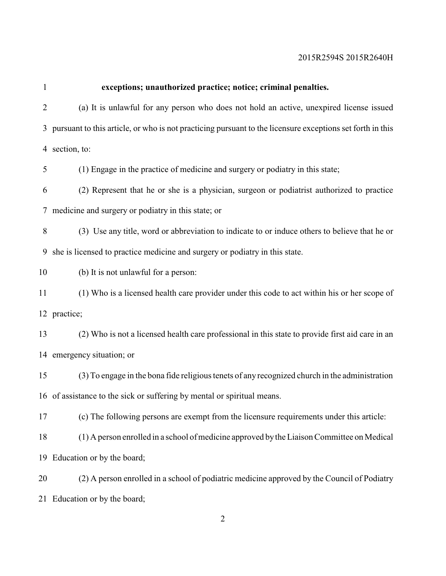| exceptions; unauthorized practice; notice; criminal penalties.                                              |
|-------------------------------------------------------------------------------------------------------------|
| (a) It is unlawful for any person who does not hold an active, unexpired license issued                     |
| 3 pursuant to this article, or who is not practicing pursuant to the licensure exceptions set forth in this |
| 4 section, to:                                                                                              |
| (1) Engage in the practice of medicine and surgery or podiatry in this state;                               |
| (2) Represent that he or she is a physician, surgeon or podiatrist authorized to practice                   |
| 7 medicine and surgery or podiatry in this state; or                                                        |
| (3) Use any title, word or abbreviation to indicate to or induce others to believe that he or               |
| 9 she is licensed to practice medicine and surgery or podiatry in this state.                               |
| (b) It is not unlawful for a person:                                                                        |
| (1) Who is a licensed health care provider under this code to act within his or her scope of                |
| 12 practice;                                                                                                |
| (2) Who is not a licensed health care professional in this state to provide first aid care in an            |
| 14 emergency situation; or                                                                                  |
| (3) To engage in the bona fide religious tenets of any recognized church in the administration              |
| 16 of assistance to the sick or suffering by mental or spiritual means.                                     |
| (c) The following persons are exempt from the licensure requirements under this article:                    |
| (1) A person enrolled in a school of medicine approved by the Liaison Committee on Medical                  |
| 19 Education or by the board;                                                                               |
| (2) A person enrolled in a school of podiatric medicine approved by the Council of Podiatry                 |
| 21 Education or by the board;                                                                               |
|                                                                                                             |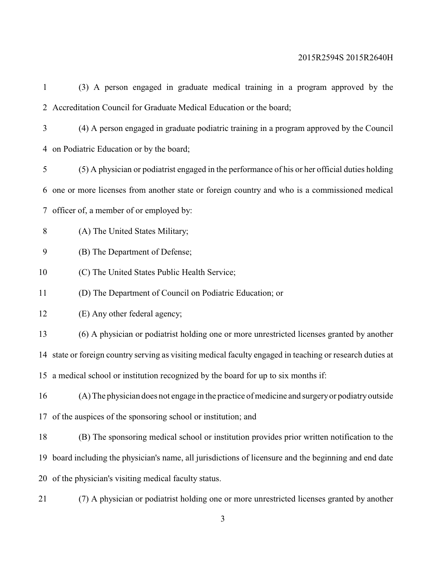| 1  | (3) A person engaged in graduate medical training in a program approved by the                            |
|----|-----------------------------------------------------------------------------------------------------------|
|    | 2 Accreditation Council for Graduate Medical Education or the board;                                      |
| 3  | (4) A person engaged in graduate podiatric training in a program approved by the Council                  |
|    | 4 on Podiatric Education or by the board;                                                                 |
| 5  | (5) A physician or podiatrist engaged in the performance of his or her official duties holding            |
| 6  | one or more licenses from another state or foreign country and who is a commissioned medical              |
|    | 7 officer of, a member of or employed by:                                                                 |
| 8  | (A) The United States Military;                                                                           |
| 9  | (B) The Department of Defense;                                                                            |
| 10 | (C) The United States Public Health Service;                                                              |
| 11 | (D) The Department of Council on Podiatric Education; or                                                  |
| 12 | (E) Any other federal agency;                                                                             |
| 13 | (6) A physician or podiatrist holding one or more unrestricted licenses granted by another                |
|    | 14 state or foreign country serving as visiting medical faculty engaged in teaching or research duties at |
|    | 15 a medical school or institution recognized by the board for up to six months if:                       |
| 16 | (A) The physician does not engage in the practice of medicine and surgery or podiatry outside             |
|    | 17 of the auspices of the sponsoring school or institution; and                                           |
| 18 | (B) The sponsoring medical school or institution provides prior written notification to the               |
|    | 19 board including the physician's name, all jurisdictions of licensure and the beginning and end date    |
|    | 20 of the physician's visiting medical faculty status.                                                    |
|    |                                                                                                           |

(7) A physician or podiatrist holding one or more unrestricted licenses granted by another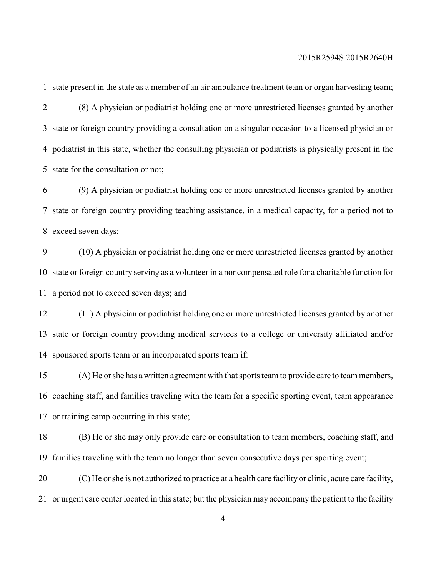state present in the state as a member of an air ambulance treatment team or organ harvesting team; (8) A physician or podiatrist holding one or more unrestricted licenses granted by another state or foreign country providing a consultation on a singular occasion to a licensed physician or podiatrist in this state, whether the consulting physician or podiatrists is physically present in the state for the consultation or not;

 (9) A physician or podiatrist holding one or more unrestricted licenses granted by another state or foreign country providing teaching assistance, in a medical capacity, for a period not to exceed seven days;

 (10) A physician or podiatrist holding one or more unrestricted licenses granted by another state or foreign country serving as a volunteer in a noncompensated role for a charitable function for a period not to exceed seven days; and

 (11) A physician or podiatrist holding one or more unrestricted licenses granted by another state or foreign country providing medical services to a college or university affiliated and/or sponsored sports team or an incorporated sports team if:

 (A) He or she has a written agreement with that sports team to provide care to team members, coaching staff, and families traveling with the team for a specific sporting event, team appearance or training camp occurring in this state;

 (B) He or she may only provide care or consultation to team members, coaching staff, and families traveling with the team no longer than seven consecutive days per sporting event;

 (C) He or she is not authorized to practice at a health care facility or clinic, acute care facility, or urgent care center located in this state; but the physician may accompany the patient to the facility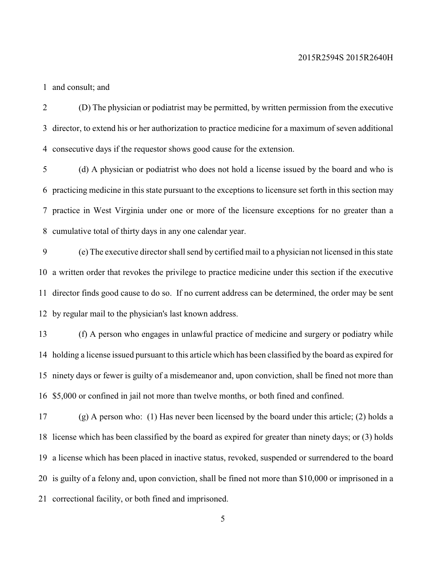and consult; and

 (D) The physician or podiatrist may be permitted, by written permission from the executive director, to extend his or her authorization to practice medicine for a maximum of seven additional consecutive days if the requestor shows good cause for the extension.

 (d) A physician or podiatrist who does not hold a license issued by the board and who is practicing medicine in this state pursuant to the exceptions to licensure set forth in this section may practice in West Virginia under one or more of the licensure exceptions for no greater than a cumulative total of thirty days in any one calendar year.

 (e) The executive director shall send by certified mail to a physician not licensed in this state a written order that revokes the privilege to practice medicine under this section if the executive director finds good cause to do so. If no current address can be determined, the order may be sent by regular mail to the physician's last known address.

 (f) A person who engages in unlawful practice of medicine and surgery or podiatry while holding a license issued pursuant to this article which has been classified by the board as expired for ninety days or fewer is guilty of a misdemeanor and, upon conviction, shall be fined not more than \$5,000 or confined in jail not more than twelve months, or both fined and confined.

17 (g) A person who: (1) Has never been licensed by the board under this article; (2) holds a license which has been classified by the board as expired for greater than ninety days; or (3) holds a license which has been placed in inactive status, revoked, suspended or surrendered to the board is guilty of a felony and, upon conviction, shall be fined not more than \$10,000 or imprisoned in a correctional facility, or both fined and imprisoned.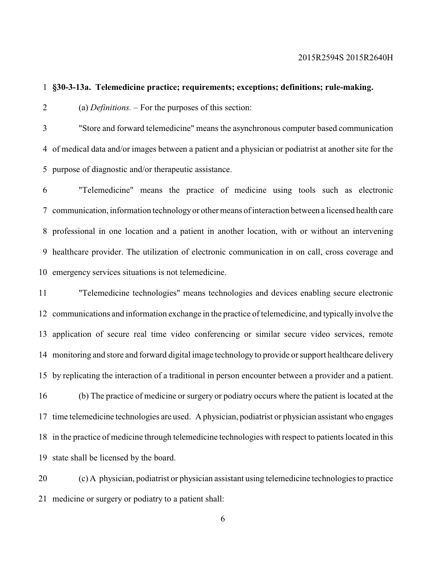**§30-3-13a. Telemedicine practice; requirements; exceptions; definitions; rule-making.**

(a) *Definitions. –* For the purposes of this section:

 "Store and forward telemedicine" means the asynchronous computer based communication of medical data and/or images between a patient and a physician or podiatrist at another site for the purpose of diagnostic and/or therapeutic assistance.

 "Telemedicine" means the practice of medicine using tools such as electronic communication, information technologyor other means of interaction between a licensed health care professional in one location and a patient in another location, with or without an intervening healthcare provider. The utilization of electronic communication in on call, cross coverage and emergency services situations is not telemedicine.

 "Telemedicine technologies" means technologies and devices enabling secure electronic communications and information exchange in the practice of telemedicine, and typically involve the application of secure real time video conferencing or similar secure video services, remote monitoring and store and forward digital image technology to provide or support healthcare delivery by replicating the interaction of a traditional in person encounter between a provider and a patient. (b) The practice of medicine or surgery or podiatry occurs where the patient is located at the time telemedicine technologies are used. A physician, podiatrist or physician assistant who engages in the practice of medicine through telemedicine technologies with respect to patients located in this state shall be licensed by the board.

 (c) A physician, podiatrist or physician assistant using telemedicine technologies to practice medicine or surgery or podiatry to a patient shall: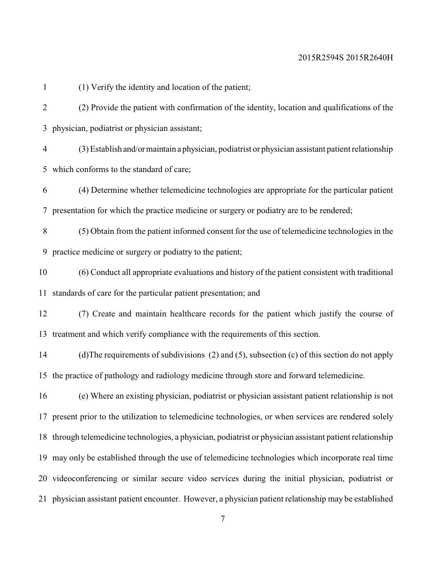(1) Verify the identity and location of the patient;

 (2) Provide the patient with confirmation of the identity, location and qualifications of the physician, podiatrist or physician assistant;

 (3) Establish and/ormaintain a physician, podiatrist or physician assistant patient relationship which conforms to the standard of care;

 (4) Determine whether telemedicine technologies are appropriate for the particular patient presentation for which the practice medicine or surgery or podiatry are to be rendered;

 (5) Obtain from the patient informed consent for the use of telemedicine technologies in the practice medicine or surgery or podiatry to the patient;

 (6) Conduct all appropriate evaluations and history of the patient consistent with traditional standards of care for the particular patient presentation; and

 (7) Create and maintain healthcare records for the patient which justify the course of treatment and which verify compliance with the requirements of this section.

 (d)The requirements of subdivisions (2) and (5), subsection (c) of this section do not apply the practice of pathology and radiology medicine through store and forward telemedicine.

 (e) Where an existing physician, podiatrist or physician assistant patient relationship is not present prior to the utilization to telemedicine technologies, or when services are rendered solely through telemedicine technologies, a physician, podiatrist or physician assistant patient relationship may only be established through the use of telemedicine technologies which incorporate real time videoconferencing or similar secure video services during the initial physician, podiatrist or physician assistant patient encounter. However, a physician patient relationship may be established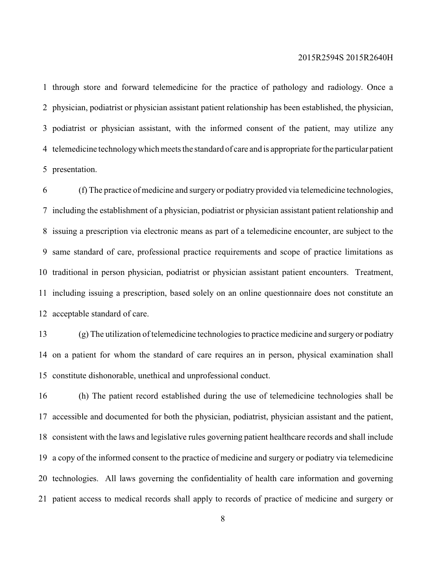through store and forward telemedicine for the practice of pathology and radiology. Once a physician, podiatrist or physician assistant patient relationship has been established, the physician, podiatrist or physician assistant, with the informed consent of the patient, may utilize any telemedicine technologywhich meets the standard of care and is appropriate for the particular patient presentation.

 (f) The practice of medicine and surgery or podiatry provided via telemedicine technologies, including the establishment of a physician, podiatrist or physician assistant patient relationship and issuing a prescription via electronic means as part of a telemedicine encounter, are subject to the same standard of care, professional practice requirements and scope of practice limitations as traditional in person physician, podiatrist or physician assistant patient encounters. Treatment, including issuing a prescription, based solely on an online questionnaire does not constitute an acceptable standard of care.

 (g) The utilization of telemedicine technologies to practice medicine and surgery or podiatry on a patient for whom the standard of care requires an in person, physical examination shall constitute dishonorable, unethical and unprofessional conduct.

 (h) The patient record established during the use of telemedicine technologies shall be accessible and documented for both the physician, podiatrist, physician assistant and the patient, consistent with the laws and legislative rules governing patient healthcare records and shall include a copy of the informed consent to the practice of medicine and surgery or podiatry via telemedicine technologies. All laws governing the confidentiality of health care information and governing patient access to medical records shall apply to records of practice of medicine and surgery or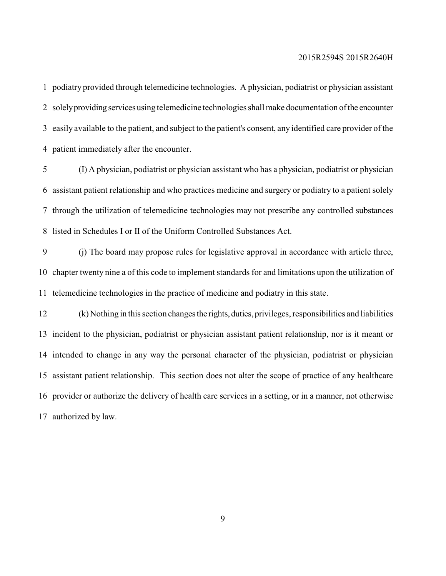podiatry provided through telemedicine technologies. A physician, podiatrist or physician assistant solelyproviding services using telemedicine technologies shall make documentation ofthe encounter easily available to the patient, and subject to the patient's consent, any identified care provider of the patient immediately after the encounter.

 (I) A physician, podiatrist or physician assistant who has a physician, podiatrist or physician assistant patient relationship and who practices medicine and surgery or podiatry to a patient solely through the utilization of telemedicine technologies may not prescribe any controlled substances listed in Schedules I or II of the Uniform Controlled Substances Act.

 (j) The board may propose rules for legislative approval in accordance with article three, chapter twenty nine a of this code to implement standards for and limitations upon the utilization of telemedicine technologies in the practice of medicine and podiatry in this state.

 (k) Nothing in this section changesthe rights, duties, privileges, responsibilities and liabilities incident to the physician, podiatrist or physician assistant patient relationship, nor is it meant or intended to change in any way the personal character of the physician, podiatrist or physician assistant patient relationship. This section does not alter the scope of practice of any healthcare provider or authorize the delivery of health care services in a setting, or in a manner, not otherwise authorized by law.